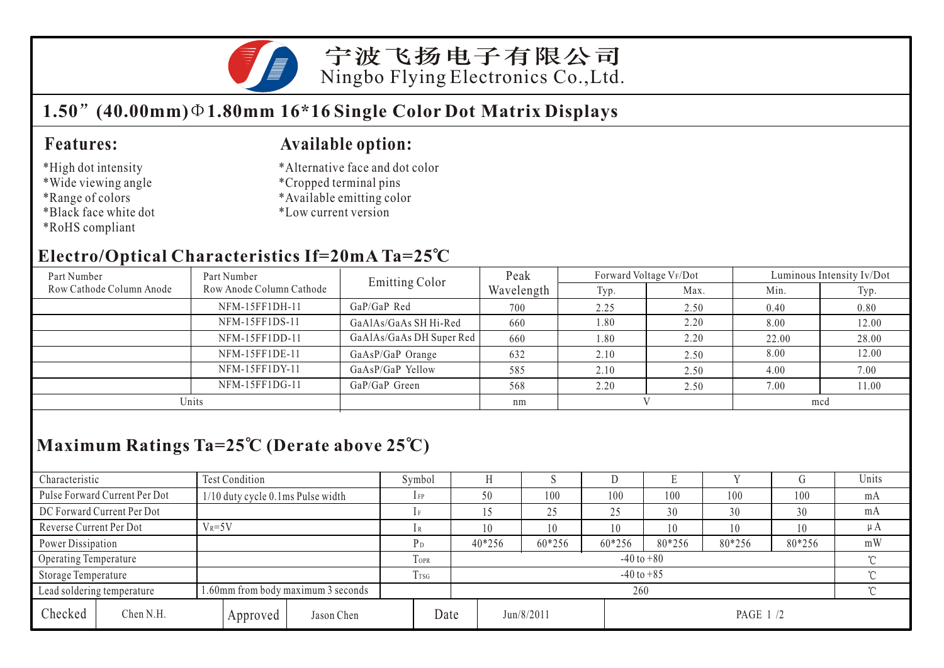

宁波飞扬电子有限公司 Ningbo Flying Electronics Co.,Ltd.

## **1.50 (40.00mm) 1.80mm 16\*16 Single Color Dot Matrix Displays**

#### **Features:**

- \*High dot intensity
- \*Wide viewing angle
- \*Range of colors
- \*Black face white dot
- \*RoHS compliant

#### **Available option:**

- \*Alternative face and dot color
- \*Cropped terminal pins
- \*Available emitting color
- \*Low current version

#### **Electro/Optical Characteristics If=20mA Ta=25 C**

| Part Number              | Part Number                     | Emitting Color           | Peak       | Forward Voltage VF/Dot |      | Luminous Intensity Iv/Dot |       |  |
|--------------------------|---------------------------------|--------------------------|------------|------------------------|------|---------------------------|-------|--|
| Row Cathode Column Anode | Row Anode Column Cathode        |                          | Wavelength | Typ.                   | Max. | Min.                      | Typ.  |  |
|                          | NFM-15FF1DH-11                  | $GaP/GaP$ Red            | 700        | 2.25                   | 2.50 | 0.40                      | 0.80  |  |
|                          | NFM-15FF1DS-11                  | GaAlAs/GaAs SH Hi-Red    | 660        | 1.80                   | 2.20 | 8.00                      | 12.00 |  |
|                          | NFM-15FF1DD-11                  | GaAlAs/GaAs DH Super Red | 660        | 1.80                   | 2.20 | 22.00                     | 28.00 |  |
|                          | NFM-15FF1DE-11                  | GaAsP/GaP Orange         | 632        | 2.10                   | 2.50 | 8.00                      | 12.00 |  |
|                          | NFM-15FF1DY-11                  | GaAsP/GaP Yellow         | 585        | 2.10                   | 2.50 | 4.00                      | 7.00  |  |
|                          | NFM-15FF1DG-11<br>GaP/GaP Green |                          | 568        | 2.20                   | 2.50 | 7.00                      | 11.00 |  |
| Units                    |                                 |                          | nm         |                        |      | mcd                       |       |  |

# **Maximum Ratings Ta=25 C (Derate above 25 C)**

| Characteristic          |                               | <b>Test Condition</b>                |          |                  |                          | Symbol |        |            | IJ     |           |     |     | Units   |  |
|-------------------------|-------------------------------|--------------------------------------|----------|------------------|--------------------------|--------|--------|------------|--------|-----------|-----|-----|---------|--|
|                         | Pulse Forward Current Per Dot | $1/10$ duty cycle 0.1 ms Pulse width |          |                  |                          | $1$ FP | 50     | 100        | 100    | 100       | 100 | 100 | mA      |  |
|                         | DC Forward Current Per Dot    |                                      |          |                  |                          |        |        | 25         | 25     | 30        | 30  | 30  | mA      |  |
| Reverse Current Per Dot |                               | $V_R = 5V$                           |          |                  |                          |        | 10     | 10         | 10     | 10        | 10  | 10  | $\mu A$ |  |
|                         | Power Dissipation             |                                      |          | P <sub>D</sub>   | 40*256                   | 60*256 | 60*256 | 80*256     | 80*256 | 80*256    | mW  |     |         |  |
| Operating Temperature   |                               |                                      |          | TOPR             |                          | $\sim$ |        |            |        |           |     |     |         |  |
| Storage Temperature     |                               |                                      |          | T <sub>TSG</sub> | $-40$ to $+85$<br>$\sim$ |        |        |            |        |           |     |     |         |  |
|                         | Lead soldering temperature    | 1.60mm from body maximum 3 seconds   |          |                  |                          |        | 260    |            |        |           |     |     |         |  |
| Checked                 | Chen N.H.                     |                                      | Approved | Jason Chen       | Date                     |        |        | Jun/8/2011 |        | PAGE 1 /2 |     |     |         |  |